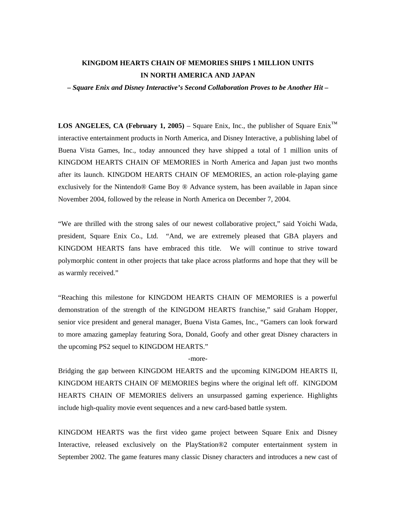# **KINGDOM HEARTS CHAIN OF MEMORIES SHIPS 1 MILLION UNITS IN NORTH AMERICA AND JAPAN**

#### *– Square Enix and Disney Interactive's Second Collaboration Proves to be Another Hit –*

**LOS ANGELES, CA (February 1, 2005)** – Square Enix, Inc., the publisher of Square Enix<sup>™</sup> interactive entertainment products in North America, and Disney Interactive, a publishing label of Buena Vista Games, Inc., today announced they have shipped a total of 1 million units of KINGDOM HEARTS CHAIN OF MEMORIES in North America and Japan just two months after its launch. KINGDOM HEARTS CHAIN OF MEMORIES, an action role-playing game exclusively for the Nintendo® Game Boy ® Advance system, has been available in Japan since November 2004, followed by the release in North America on December 7, 2004.

"We are thrilled with the strong sales of our newest collaborative project," said Yoichi Wada, president, Square Enix Co., Ltd. "And, we are extremely pleased that GBA players and KINGDOM HEARTS fans have embraced this title. We will continue to strive toward polymorphic content in other projects that take place across platforms and hope that they will be as warmly received."

"Reaching this milestone for KINGDOM HEARTS CHAIN OF MEMORIES is a powerful demonstration of the strength of the KINGDOM HEARTS franchise," said Graham Hopper, senior vice president and general manager, Buena Vista Games, Inc., "Gamers can look forward to more amazing gameplay featuring Sora, Donald, Goofy and other great Disney characters in the upcoming PS2 sequel to KINGDOM HEARTS."

### -more-

Bridging the gap between KINGDOM HEARTS and the upcoming KINGDOM HEARTS II, KINGDOM HEARTS CHAIN OF MEMORIES begins where the original left off. KINGDOM HEARTS CHAIN OF MEMORIES delivers an unsurpassed gaming experience. Highlights include high-quality movie event sequences and a new card-based battle system.

KINGDOM HEARTS was the first video game project between Square Enix and Disney Interactive, released exclusively on the PlayStation®2 computer entertainment system in September 2002. The game features many classic Disney characters and introduces a new cast of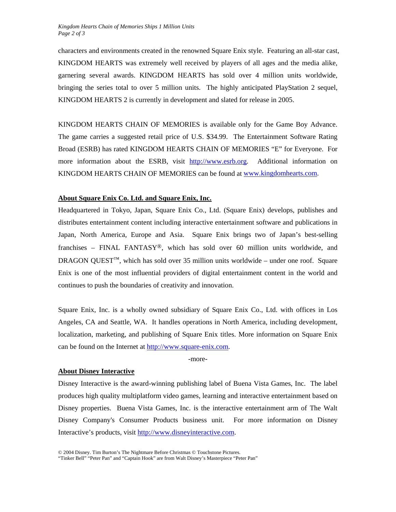characters and environments created in the renowned Square Enix style. Featuring an all-star cast, KINGDOM HEARTS was extremely well received by players of all ages and the media alike, garnering several awards. KINGDOM HEARTS has sold over 4 million units worldwide, bringing the series total to over 5 million units. The highly anticipated PlayStation 2 sequel, KINGDOM HEARTS 2 is currently in development and slated for release in 2005.

KINGDOM HEARTS CHAIN OF MEMORIES is available only for the Game Boy Advance. The game carries a suggested retail price of U.S. \$34.99. The Entertainment Software Rating Broad (ESRB) has rated KINGDOM HEARTS CHAIN OF MEMORIES "E" for Everyone. For more information about the ESRB, visit [http://www.esrb.org.](http://www.esrb.org/) Additional information on KINGDOM HEARTS CHAIN OF MEMORIES can be found at [www.kingdomhearts.com.](http://www.kingdomhearts.com/)

## **About Square Enix Co. Ltd. and Square Enix, Inc.**

Headquartered in Tokyo, Japan, Square Enix Co., Ltd. (Square Enix) develops, publishes and distributes entertainment content including interactive entertainment software and publications in Japan, North America, Europe and Asia. Square Enix brings two of Japan's best-selling franchises – FINAL FANTASY®, which has sold over 60 million units worldwide, and DRAGON QUEST<sup>™</sup>, which has sold over 35 million units worldwide – under one roof. Square Enix is one of the most influential providers of digital entertainment content in the world and continues to push the boundaries of creativity and innovation.

Square Enix, Inc. is a wholly owned subsidiary of Square Enix Co., Ltd. with offices in Los Angeles, CA and Seattle, WA. It handles operations in North America, including development, localization, marketing, and publishing of Square Enix titles. More information on Square Enix can be found on the Internet at [http://www.square-enix.com.](http://www.square-enix.com/)

-more-

#### **About Disney Interactive**

Disney Interactive is the award-winning publishing label of Buena Vista Games, Inc. The label produces high quality multiplatform video games, learning and interactive entertainment based on Disney properties. Buena Vista Games, Inc. is the interactive entertainment arm of The Walt Disney Company's Consumer Products business unit. For more information on Disney Interactive's products, visit [http://www.disneyinteractive.com](http://www.disneyinteractive.com/).

"Tinker Bell" "Peter Pan" and "Captain Hook" are from Walt Disney's Masterpiece "Peter Pan"

<sup>© 2004</sup> Disney. Tim Burton's The Nightmare Before Christmas © Touchstone Pictures.